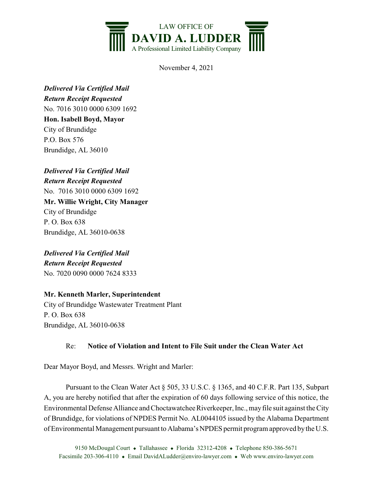

November 4, 2021

*Delivered Via Certified Mail Return Receipt Requested* No. 7016 3010 0000 6309 1692 **Hon. Isabell Boyd, Mayor** City of Brundidge P.O. Box 576 Brundidge, AL 36010

*Delivered Via Certified Mail Return Receipt Requested* No. 7016 3010 0000 6309 1692 **Mr. Willie Wright, City Manager** City of Brundidge P. O. Box 638 Brundidge, AL 36010-0638

*Delivered Via Certified Mail Return Receipt Requested* No. 7020 0090 0000 7624 8333

## **Mr. Kenneth Marler, Superintendent**

City of Brundidge Wastewater Treatment Plant P. O. Box 638 Brundidge, AL 36010-0638

## Re: **Notice of Violation and Intent to File Suit under the Clean Water Act**

Dear Mayor Boyd, and Messrs. Wright and Marler:

Pursuant to the Clean Water Act § 505, 33 U.S.C. § 1365, and 40 C.F.R. Part 135, Subpart A, you are hereby notified that after the expiration of 60 days following service of this notice, the Environmental Defense Alliance and Choctawatchee Riverkeeper, Inc., mayfile suit against the City of Brundidge, for violations of NPDES Permit No. AL0044105 issued by the Alabama Department of Environmental Management pursuant to Alabama's NPDES permit program approved by the U.S.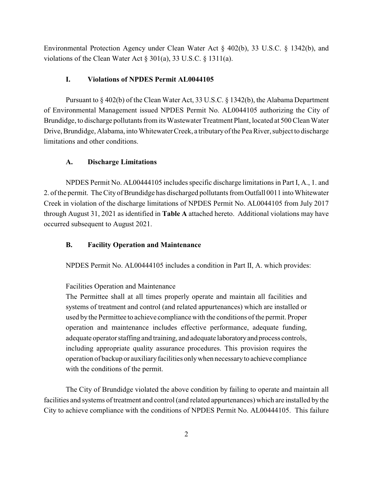Environmental Protection Agency under Clean Water Act § 402(b), 33 U.S.C. § 1342(b), and violations of the Clean Water Act § 301(a), 33 U.S.C. § 1311(a).

### **I. Violations of NPDES Permit AL0044105**

Pursuant to § 402(b) of the Clean Water Act, 33 U.S.C. § 1342(b), the Alabama Department of Environmental Management issued NPDES Permit No. AL0044105 authorizing the City of Brundidge, to discharge pollutants from its Wastewater Treatment Plant, located at 500 Clean Water Drive, Brundidge, Alabama, into Whitewater Creek, a tributaryof the Pea River, subject to discharge limitations and other conditions.

### **A. Discharge Limitations**

NPDES Permit No. AL00444105 includes specific discharge limitations in Part I, A., 1. and 2. of the permit. The City of Brundidge has discharged pollutants from Outfall 0011 into Whitewater Creek in violation of the discharge limitations of NPDES Permit No. AL0044105 from July 2017 through August 31, 2021 as identified in **Table A** attached hereto. Additional violations may have occurred subsequent to August 2021.

### **B. Facility Operation and Maintenance**

NPDES Permit No. AL00444105 includes a condition in Part II, A. which provides:

### Facilities Operation and Maintenance

The Permittee shall at all times properly operate and maintain all facilities and systems of treatment and control (and related appurtenances) which are installed or used bythe Permittee to achieve compliance with the conditions of the permit. Proper operation and maintenance includes effective performance, adequate funding, adequate operator staffing and training, and adequate laboratoryand process controls, including appropriate quality assurance procedures. This provision requires the operation of backup or auxiliary facilities only when necessary to achieve compliance with the conditions of the permit.

The City of Brundidge violated the above condition by failing to operate and maintain all facilities and systems of treatment and control (and related appurtenances) which are installed by the City to achieve compliance with the conditions of NPDES Permit No. AL00444105. This failure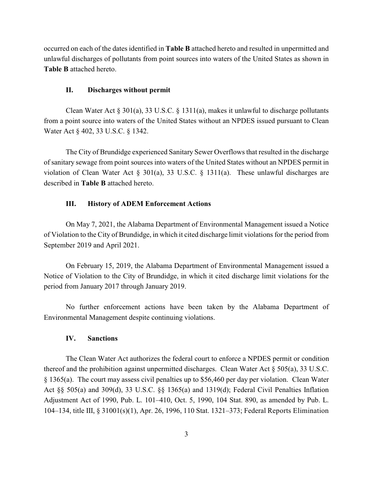occurred on each of the dates identified in **Table B** attached hereto and resulted in unpermitted and unlawful discharges of pollutants from point sources into waters of the United States as shown in **Table B** attached hereto.

#### **II. Discharges without permit**

Clean Water Act § 301(a), 33 U.S.C. § 1311(a), makes it unlawful to discharge pollutants from a point source into waters of the United States without an NPDES issued pursuant to Clean Water Act § 402, 33 U.S.C. § 1342.

The City of Brundidge experienced Sanitary Sewer Overflows that resulted in the discharge of sanitary sewage from point sources into waters of the United States without an NPDES permit in violation of Clean Water Act § 301(a), 33 U.S.C. § 1311(a). These unlawful discharges are described in **Table B** attached hereto.

### **III. History of ADEM Enforcement Actions**

On May 7, 2021, the Alabama Department of Environmental Management issued a Notice of Violation to the City of Brundidge, in which it cited discharge limit violations for the period from September 2019 and April 2021.

On February 15, 2019, the Alabama Department of Environmental Management issued a Notice of Violation to the City of Brundidge, in which it cited discharge limit violations for the period from January 2017 through January 2019.

No further enforcement actions have been taken by the Alabama Department of Environmental Management despite continuing violations.

### **IV. Sanctions**

The Clean Water Act authorizes the federal court to enforce a NPDES permit or condition thereof and the prohibition against unpermitted discharges. Clean Water Act  $\S 505(a)$ , 33 U.S.C. § 1365(a). The court may assess civil penalties up to \$56,460 per day per violation. Clean Water Act §§ 505(a) and 309(d), 33 U.S.C. §§ 1365(a) and 1319(d); Federal Civil Penalties Inflation Adjustment Act of 1990, Pub. L. 101–410, Oct. 5, 1990, 104 Stat. 890, as amended by Pub. L. 104–134, title III, § 31001(s)(1), Apr. 26, 1996, 110 Stat. 1321–373; Federal Reports Elimination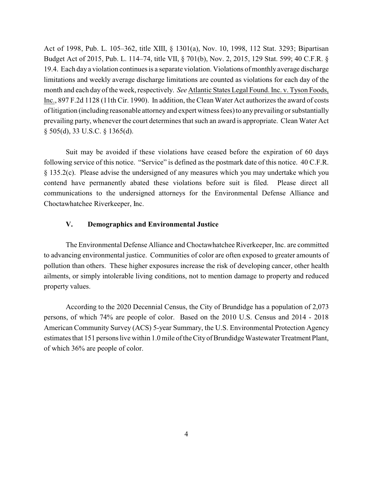Act of 1998, Pub. L. 105–362, title XIII, § 1301(a), Nov. 10, 1998, 112 Stat. 3293; Bipartisan Budget Act of 2015, Pub. L. 114–74, title VII, § 701(b), Nov. 2, 2015, 129 Stat. 599; 40 C.F.R. § 19.4. Each day a violation continues is a separate violation. Violations of monthly average discharge limitations and weekly average discharge limitations are counted as violations for each day of the month and each day of the week, respectively. *See* Atlantic States Legal Found. Inc. v. Tyson Foods, Inc., 897 F.2d 1128 (11th Cir. 1990). In addition, the Clean Water Act authorizes the award of costs of litigation (including reasonable attorneyand expert witness fees) to any prevailing or substantially prevailing party, whenever the court determines that such an award is appropriate. Clean Water Act § 505(d), 33 U.S.C. § 1365(d).

Suit may be avoided if these violations have ceased before the expiration of 60 days following service of this notice. "Service" is defined as the postmark date of this notice. 40 C.F.R. § 135.2(c). Please advise the undersigned of any measures which you may undertake which you contend have permanently abated these violations before suit is filed. Please direct all communications to the undersigned attorneys for the Environmental Defense Alliance and Choctawhatchee Riverkeeper, Inc.

### **V. Demographics and Environmental Justice**

The Environmental Defense Alliance and Choctawhatchee Riverkeeper, Inc. are committed to advancing environmental justice. Communities of color are often exposed to greater amounts of pollution than others. These higher exposures increase the risk of developing cancer, other health ailments, or simply intolerable living conditions, not to mention damage to property and reduced property values.

According to the 2020 Decennial Census, the City of Brundidge has a population of 2,073 persons, of which 74% are people of color. Based on the 2010 U.S. Census and 2014 - 2018 American Community Survey (ACS) 5-year Summary, the U.S. Environmental Protection Agency estimates that 151 persons live within 1.0 mile of the Cityof Brundidge Wastewater Treatment Plant, of which 36% are people of color.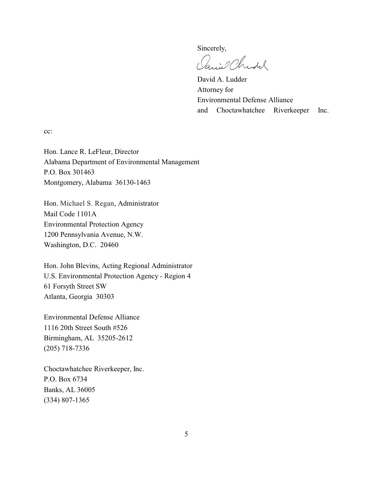Sincerely,

anie Christ

David A. Ludder Attorney for Environmental Defense Alliance and Choctawhatchee Riverkeeper Inc.

cc:

Hon. Lance R. LeFleur, Director Alabama Department of Environmental Management P.O. Box 301463 Montgomery, Alabama 36130-1463

Hon. Michael S. Regan, Administrator Mail Code 1101A Environmental Protection Agency 1200 Pennsylvania Avenue, N.W. Washington, D.C. 20460

Hon. John Blevins, Acting Regional Administrator U.S. Environmental Protection Agency - Region 4 61 Forsyth Street SW Atlanta, Georgia 30303

Environmental Defense Alliance 1116 20th Street South #526 Birmingham, AL 35205-2612 (205) 718-7336

Choctawhatchee Riverkeeper, Inc. P.O. Box 6734 Banks, AL 36005 (334) 807-1365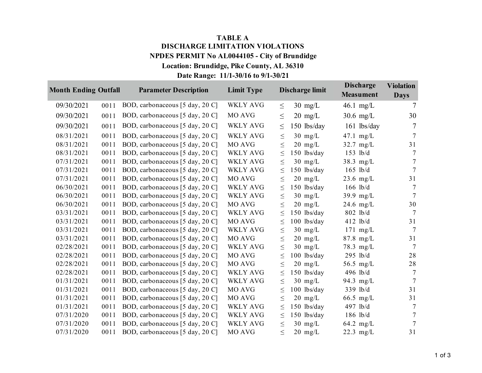# **TABLE A Location: Brundidge, Pike County, AL 36310 NPDES PERMIT No AL0044105 - City of Brundidge DISCHARGE LIMITATION VIOLATIONS**

# **Date Range: 11/1-30/16 to 9/1-30/21**

| <b>Month Ending Outfall</b> |      | <b>Parameter Description</b>    | <b>Limit Type</b> |        | Discharge limit   | <b>Discharge</b><br><b>Measument</b> | <b>Violation</b><br><b>Days</b> |
|-----------------------------|------|---------------------------------|-------------------|--------|-------------------|--------------------------------------|---------------------------------|
| 09/30/2021                  | 0011 | BOD, carbonaceous [5 day, 20 C] | <b>WKLY AVG</b>   | $\leq$ | $30 \text{ mg/L}$ | 46.1 mg/L                            | 7                               |
| 09/30/2021                  | 0011 | BOD, carbonaceous [5 day, 20 C] | MO AVG            | $\leq$ | $20 \text{ mg/L}$ | $30.6$ mg/L                          | 30                              |
| 09/30/2021                  | 0011 | BOD, carbonaceous [5 day, 20 C] | WKLY AVG          | $\leq$ | 150 lbs/day       | $161$ lbs/day                        | 7                               |
| 08/31/2021                  | 0011 | BOD, carbonaceous [5 day, 20 C] | <b>WKLY AVG</b>   | $\leq$ | $30 \text{ mg/L}$ | $47.1$ mg/L                          | 7                               |
| 08/31/2021                  | 0011 | BOD, carbonaceous [5 day, 20 C] | MO AVG            | $\leq$ | $20 \text{ mg/L}$ | $32.7$ mg/L                          | 31                              |
| 08/31/2021                  | 0011 | BOD, carbonaceous [5 day, 20 C] | <b>WKLY AVG</b>   | $\leq$ | $150$ lbs/day     | 153 lb/d                             | 7                               |
| 07/31/2021                  | 0011 | BOD, carbonaceous [5 day, 20 C] | WKLY AVG          | $\leq$ | $30 \text{ mg/L}$ | $38.3$ mg/L                          | 7                               |
| 07/31/2021                  | 0011 | BOD, carbonaceous [5 day, 20 C] | <b>WKLY AVG</b>   | $\leq$ | $150$ lbs/day     | $165$ lb/d                           | $\overline{7}$                  |
| 07/31/2021                  | 0011 | BOD, carbonaceous [5 day, 20 C] | MO AVG            | $\leq$ | $20 \text{ mg/L}$ | $23.6$ mg/L                          | 31                              |
| 06/30/2021                  | 0011 | BOD, carbonaceous [5 day, 20 C] | WKLY AVG          | $\leq$ | $150$ lbs/day     | $166$ lb/d                           | 7                               |
| 06/30/2021                  | 0011 | BOD, carbonaceous [5 day, 20 C] | <b>WKLY AVG</b>   | $\leq$ | $30 \text{ mg/L}$ | 39.9 $mg/L$                          | $\overline{7}$                  |
| 06/30/2021                  | 0011 | BOD, carbonaceous [5 day, 20 C] | MO AVG            | $\leq$ | $20 \text{ mg/L}$ | 24.6 $mg/L$                          | 30                              |
| 03/31/2021                  | 0011 | BOD, carbonaceous [5 day, 20 C] | <b>WKLY AVG</b>   | $\leq$ | $150$ lbs/day     | 802 lb/d                             | $\overline{7}$                  |
| 03/31/2021                  | 0011 | BOD, carbonaceous [5 day, 20 C] | MO AVG            | $\leq$ | $100$ lbs/day     | $412$ lb/d                           | 31                              |
| 03/31/2021                  | 0011 | BOD, carbonaceous [5 day, 20 C] | <b>WKLY AVG</b>   | $\leq$ | $30 \text{ mg/L}$ | $171 \text{ mg/L}$                   | $\overline{7}$                  |
| 03/31/2021                  | 0011 | BOD, carbonaceous [5 day, 20 C] | MO AVG            | $\leq$ | $20 \text{ mg/L}$ | $87.8$ mg/L                          | 31                              |
| 02/28/2021                  | 0011 | BOD, carbonaceous [5 day, 20 C] | <b>WKLY AVG</b>   | $\leq$ | $30 \text{ mg/L}$ | $78.3$ mg/L                          | $\overline{7}$                  |
| 02/28/2021                  | 0011 | BOD, carbonaceous [5 day, 20 C] | MO AVG            | $\leq$ | $100$ lbs/day     | $295$ lb/d                           | 28                              |
| 02/28/2021                  | 0011 | BOD, carbonaceous [5 day, 20 C] | MO AVG            | $\leq$ | $20 \text{ mg/L}$ | 56.5 mg/L                            | 28                              |
| 02/28/2021                  | 0011 | BOD, carbonaceous [5 day, 20 C] | WKLY AVG          | $\leq$ | $150$ lbs/day     | 496 lb/d                             | $\tau$                          |
| 01/31/2021                  | 0011 | BOD, carbonaceous [5 day, 20 C] | <b>WKLY AVG</b>   | $\leq$ | $30 \text{ mg/L}$ | 94.3 $mg/L$                          | $\overline{7}$                  |
| 01/31/2021                  | 0011 | BOD, carbonaceous [5 day, 20 C] | MO AVG            | $\leq$ | $100$ lbs/day     | 339 lb/d                             | 31                              |
| 01/31/2021                  | 0011 | BOD, carbonaceous [5 day, 20 C] | MO AVG            | $\leq$ | $20 \text{ mg/L}$ | $66.5$ mg/L                          | 31                              |
| 01/31/2021                  | 0011 | BOD, carbonaceous [5 day, 20 C] | <b>WKLY AVG</b>   | $\leq$ | $150$ lbs/day     | 497 lb/d                             | 7                               |
| 07/31/2020                  | 0011 | BOD, carbonaceous [5 day, 20 C] | <b>WKLY AVG</b>   | $\leq$ | $150$ lbs/day     | $186$ lb/d                           | $\tau$                          |
| 07/31/2020                  | 0011 | BOD, carbonaceous [5 day, 20 C] | <b>WKLY AVG</b>   | $\leq$ | $30$ mg/L         | $64.2$ mg/L                          | $\overline{7}$                  |
| 07/31/2020                  | 0011 | BOD, carbonaceous [5 day, 20 C] | MO AVG            | $\leq$ | $20 \text{ mg/L}$ | $22.3$ mg/L                          | 31                              |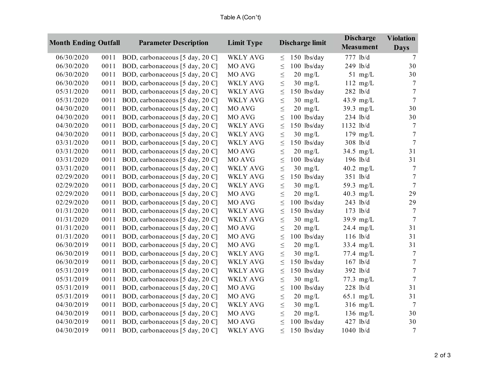|            | <b>Month Ending Outfall</b> |      | <b>Parameter Description</b>    | <b>Limit Type</b> |        | Discharge limit   | <b>Discharge</b><br><b>Measument</b> | <b>Violation</b><br><b>Days</b> |
|------------|-----------------------------|------|---------------------------------|-------------------|--------|-------------------|--------------------------------------|---------------------------------|
| 06/30/2020 |                             | 0011 | BOD, carbonaceous [5 day, 20 C] | <b>WKLY AVG</b>   | $\leq$ | $150$ lbs/day     | 777 lb/d                             | $\overline{7}$                  |
| 06/30/2020 |                             | 0011 | BOD, carbonaceous [5 day, 20 C] | MO AVG            | $\leq$ | $100$ lbs/day     | 249 lb/d                             | 30                              |
| 06/30/2020 |                             | 0011 | BOD, carbonaceous [5 day, 20 C] | MO AVG            | $\leq$ | $20$ mg/L         | $51$ mg/L                            | 30                              |
| 06/30/2020 |                             | 0011 | BOD, carbonaceous [5 day, 20 C] | <b>WKLY AVG</b>   | $\leq$ | $30$ mg/L         | $112$ mg/L                           | 7                               |
| 05/31/2020 |                             | 0011 | BOD, carbonaceous [5 day, 20 C] | <b>WKLY AVG</b>   | $\leq$ | 150 lbs/day       | 282 lb/d                             | $\tau$                          |
| 05/31/2020 |                             | 0011 | BOD, carbonaceous [5 day, 20 C] | <b>WKLY AVG</b>   | $\leq$ | $30 \text{ mg/L}$ | 43.9 mg/L                            | $\overline{7}$                  |
| 04/30/2020 |                             | 0011 | BOD, carbonaceous [5 day, 20 C] | MO AVG            | $\leq$ | $20$ mg/L         | 39.3 $mg/L$                          | 30                              |
| 04/30/2020 |                             | 0011 | BOD, carbonaceous [5 day, 20 C] | MO AVG            | $\leq$ | $100$ lbs/day     | $234$ lb/d                           | 30                              |
| 04/30/2020 |                             | 0011 | BOD, carbonaceous [5 day, 20 C] | <b>WKLY AVG</b>   | $\leq$ | $150$ lbs/day     | 1132 lb/d                            | 7                               |
| 04/30/2020 |                             | 0011 | BOD, carbonaceous [5 day, 20 C] | <b>WKLY AVG</b>   | $\leq$ | $30$ mg/L         | $179$ mg/L                           | $\tau$                          |
| 03/31/2020 |                             | 0011 | BOD, carbonaceous [5 day, 20 C] | <b>WKLY AVG</b>   | $\leq$ | $150$ lbs/day     | 308 lb/d                             | $\tau$                          |
| 03/31/2020 |                             | 0011 | BOD, carbonaceous [5 day, 20 C] | MO AVG            | $\leq$ | $20 \text{ mg/L}$ | $34.5$ mg/L                          | 31                              |
| 03/31/2020 |                             | 0011 | BOD, carbonaceous [5 day, 20 C] | MO AVG            | $\leq$ | $100$ lbs/day     | 196 lb/d                             | 31                              |
| 03/31/2020 |                             | 0011 | BOD, carbonaceous [5 day, 20 C] | <b>WKLY AVG</b>   | $\leq$ | $30$ mg/L         | $40.2$ mg/L                          | $\tau$                          |
| 02/29/2020 |                             | 0011 | BOD, carbonaceous [5 day, 20 C] | <b>WKLY AVG</b>   | $\leq$ | $150$ lbs/day     | 351 lb/d                             | $\tau$                          |
| 02/29/2020 |                             | 0011 | BOD, carbonaceous [5 day, 20 C] | <b>WKLY AVG</b>   | $\leq$ | $30$ mg/L         | 59.3 mg/L                            | $\tau$                          |
| 02/29/2020 |                             | 0011 | BOD, carbonaceous [5 day, 20 C] | MO AVG            | $\leq$ | $20$ mg/L         | 40.3 $mg/L$                          | 29                              |
| 02/29/2020 |                             | 0011 | BOD, carbonaceous [5 day, 20 C] | MO AVG            | $\leq$ | $100$ lbs/day     | 243 lb/d                             | 29                              |
| 01/31/2020 |                             | 0011 | BOD, carbonaceous [5 day, 20 C] | <b>WKLY AVG</b>   | $\leq$ | $150$ lbs/day     | 173 lb/d                             | $\tau$                          |
| 01/31/2020 |                             | 0011 | BOD, carbonaceous [5 day, 20 C] | <b>WKLY AVG</b>   | $\leq$ | $30$ mg/L         | 39.9 mg/L                            | $\tau$                          |
| 01/31/2020 |                             | 0011 | BOD, carbonaceous [5 day, 20 C] | MO AVG            | $\leq$ | $20 \text{ mg/L}$ | 24.4 mg/L                            | 31                              |
| 01/31/2020 |                             | 0011 | BOD, carbonaceous [5 day, 20 C] | MO AVG            | $\leq$ | $100$ lbs/day     | $116$ lb/d                           | 31                              |
| 06/30/2019 |                             | 0011 | BOD, carbonaceous [5 day, 20 C] | MO AVG            | $\leq$ | $20$ mg/L         | 33.4 mg/L                            | 31                              |
| 06/30/2019 |                             | 0011 | BOD, carbonaceous [5 day, 20 C] | <b>WKLY AVG</b>   | $\leq$ | $30$ mg/L         | 77.4 mg/L                            | $\tau$                          |
| 06/30/2019 |                             | 0011 | BOD, carbonaceous [5 day, 20 C] | WKLY AVG          | $\leq$ | $150$ lbs/day     | $167$ lb/d                           | $\boldsymbol{7}$                |
| 05/31/2019 |                             | 0011 | BOD, carbonaceous [5 day, 20 C] | <b>WKLY AVG</b>   | $\leq$ | $150$ lbs/day     | $392$ lb/d                           | $\boldsymbol{7}$                |
| 05/31/2019 |                             | 0011 | BOD, carbonaceous [5 day, 20 C] | <b>WKLY AVG</b>   | $\leq$ | $30$ mg/L         | $77.3$ mg/L                          | $\tau$                          |
| 05/31/2019 |                             | 0011 | BOD, carbonaceous [5 day, 20 C] | MO AVG            | $\leq$ | 100 lbs/day       | 228 lb/d                             | 31                              |
| 05/31/2019 |                             | 0011 | BOD, carbonaceous [5 day, 20 C] | MO AVG            | $\leq$ | $20 \text{ mg/L}$ | $65.1$ mg/L                          | 31                              |
| 04/30/2019 |                             | 0011 | BOD, carbonaceous [5 day, 20 C] | <b>WKLY AVG</b>   | $\leq$ | $30 \text{ mg/L}$ | $316$ mg/L                           | 7                               |
| 04/30/2019 |                             | 0011 | BOD, carbonaceous [5 day, 20 C] | MO AVG            | $\leq$ | $20$ mg/L         | $136$ mg/L                           | 30                              |
| 04/30/2019 |                             | 0011 | BOD, carbonaceous [5 day, 20 C] | MO AVG            | $\leq$ | $100$ lbs/day     | 427 lb/d                             | 30                              |
| 04/30/2019 |                             | 0011 | BOD, carbonaceous [5 day, 20 C] | <b>WKLY AVG</b>   | $\leq$ | 150 lbs/day       | 1040 lb/d                            | $\overline{7}$                  |

# Table A (Con't)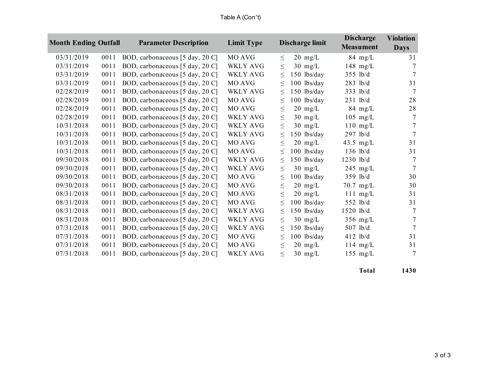| <b>Month Ending Outfall</b> |      | <b>Parameter Description</b>    | <b>Limit Type</b> |        | Discharge limit   | <b>Discharge</b><br><b>Measument</b> | <b>Violation</b><br><b>Days</b> |
|-----------------------------|------|---------------------------------|-------------------|--------|-------------------|--------------------------------------|---------------------------------|
| 03/31/2019                  | 0011 | BOD, carbonaceous [5 day, 20 C] | MO AVG            | $\leq$ | $20 \text{ mg/L}$ | $84$ mg/L                            | 31                              |
| 03/31/2019                  | 0011 | BOD, carbonaceous [5 day, 20 C] | WKLY AVG          | $\leq$ | $30 \text{ mg/L}$ | 148 $mg/L$                           | 7                               |
| 03/31/2019                  | 0011 | BOD, carbonaceous [5 day, 20 C] | WKLY AVG          | $\leq$ | 150 lbs/day       | $355$ lb/d                           | $\overline{7}$                  |
| 03/31/2019                  | 0011 | BOD, carbonaceous [5 day, 20 C] | MO AVG            | $\leq$ | $100$ lbs/day     | $283$ lb/d                           | 31                              |
| 02/28/2019                  | 0011 | BOD, carbonaceous [5 day, 20 C] | <b>WKLY AVG</b>   | $\leq$ | 150 lbs/day       | 333 lb/d                             | 7                               |
| 02/28/2019                  | 0011 | BOD, carbonaceous [5 day, 20 C] | MO AVG            | $\leq$ | 100 lbs/day       | $231$ lb/d                           | 28                              |
| 02/28/2019                  | 0011 | BOD, carbonaceous [5 day, 20 C] | MO AVG            | $\leq$ | $20 \text{ mg/L}$ | $84 \text{ mg/L}$                    | 28                              |
| 02/28/2019                  | 0011 | BOD, carbonaceous [5 day, 20 C] | WKLY AVG          | $\leq$ | $30 \text{ mg/L}$ | $105$ mg/L                           | 7                               |
| 10/31/2018                  | 0011 | BOD, carbonaceous [5 day, 20 C] | WKLY AVG          | $\leq$ | $30 \text{ mg/L}$ | $110$ mg/L                           | 7                               |
| 10/31/2018                  | 0011 | BOD, carbonaceous [5 day, 20 C] | WKLY AVG          | $\leq$ | 150 lbs/day       | $297$ lb/d                           | $\overline{7}$                  |
| 10/31/2018                  | 0011 | BOD, carbonaceous [5 day, 20 C] | MO AVG            | $\leq$ | $20 \text{ mg/L}$ | 43.5 mg/L                            | 31                              |
| 10/31/2018                  | 0011 | BOD, carbonaceous [5 day, 20 C] | MO AVG            | $\leq$ | 100 lbs/day       | $136$ lb/d                           | 31                              |
| 09/30/2018                  | 0011 | BOD, carbonaceous [5 day, 20 C] | <b>WKLY AVG</b>   | $\leq$ | 150 lbs/day       | $1230$ lb/d                          | 7                               |
| 09/30/2018                  | 0011 | BOD, carbonaceous [5 day, 20 C] | <b>WKLY AVG</b>   | $\leq$ | $30 \text{ mg/L}$ | $245$ mg/L                           | 7                               |
| 09/30/2018                  | 0011 | BOD, carbonaceous [5 day, 20 C] | MO AVG            | $\leq$ | 100 lbs/day       | $359$ lb/d                           | 30                              |
| 09/30/2018                  | 0011 | BOD, carbonaceous [5 day, 20 C] | MO AVG            | $\leq$ | $20 \text{ mg/L}$ | $70.7$ mg/L                          | 30                              |
| 08/31/2018                  | 0011 | BOD, carbonaceous [5 day, 20 C] | MO AVG            | $\leq$ | $20 \text{ mg/L}$ | $111 \text{ mg/L}$                   | 31                              |
| 08/31/2018                  | 0011 | BOD, carbonaceous [5 day, 20 C] | MO AVG            | $\leq$ | 100 lbs/day       | 552 lb/d                             | 31                              |
| 08/31/2018                  | 0011 | BOD, carbonaceous [5 day, 20 C] | <b>WKLY AVG</b>   | $\leq$ | $150$ lbs/day     | $1520$ lb/d                          | 7                               |
| 08/31/2018                  | 0011 | BOD, carbonaceous [5 day, 20 C] | WKLY AVG          | $\leq$ | $30 \text{ mg/L}$ | $356$ mg/L                           | 7                               |
| 07/31/2018                  | 0011 | BOD, carbonaceous [5 day, 20 C] | <b>WKLY AVG</b>   | $\leq$ | $150$ lbs/day     | 507 lb/d                             | 7                               |
| 07/31/2018                  | 0011 | BOD, carbonaceous [5 day, 20 C] | MO AVG            | $\leq$ | 100 lbs/day       | $412$ lb/d                           | 31                              |
| 07/31/2018                  | 0011 | BOD, carbonaceous [5 day, 20 C] | MO AVG            | $\leq$ | $20 \text{ mg/L}$ | $114 \text{ mg/L}$                   | 31                              |
| 07/31/2018                  | 0011 | BOD, carbonaceous [5 day, 20 C] | <b>WKLY AVG</b>   | $\leq$ | $30 \text{ mg/L}$ | $155$ mg/L                           | 7                               |

**Total 1430**